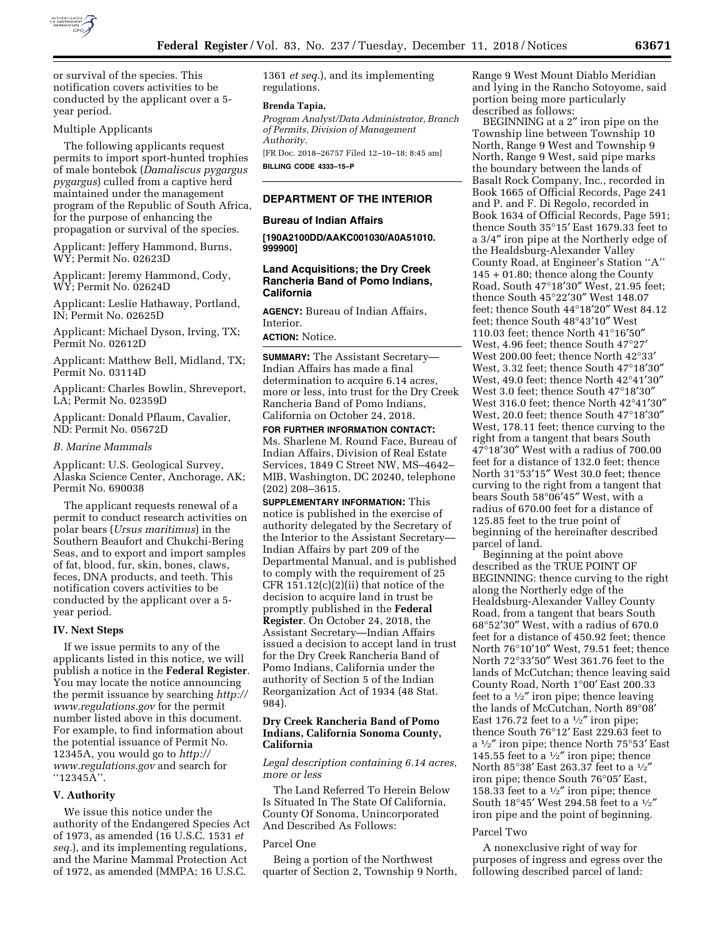

or survival of the species. This notification covers activities to be conducted by the applicant over a 5 year period.

## Multiple Applicants

The following applicants request permits to import sport-hunted trophies of male bontebok (*Damaliscus pygargus pygargus*) culled from a captive herd maintained under the management program of the Republic of South Africa, for the purpose of enhancing the propagation or survival of the species.

Applicant: Jeffery Hammond, Burns, WY; Permit No. 02623D

Applicant: Jeremy Hammond, Cody, WY; Permit No. 02624D

Applicant: Leslie Hathaway, Portland, IN; Permit No. 02625D

Applicant: Michael Dyson, Irving, TX; Permit No. 02612D

Applicant: Matthew Bell, Midland, TX; Permit No. 03114D

Applicant: Charles Bowlin, Shreveport, LA; Permit No. 02359D

Applicant: Donald Pflaum, Cavalier, ND: Permit No. 05672D

#### *B. Marine Mammals*

Applicant: U.S. Geological Survey, Alaska Science Center, Anchorage, AK; Permit No. 690038

The applicant requests renewal of a permit to conduct research activities on polar bears (*Ursus maritimus*) in the Southern Beaufort and Chukchi-Bering Seas, and to export and import samples of fat, blood, fur, skin, bones, claws, feces, DNA products, and teeth. This notification covers activities to be conducted by the applicant over a 5 year period.

#### **IV. Next Steps**

If we issue permits to any of the applicants listed in this notice, we will publish a notice in the **Federal Register**. You may locate the notice announcing the permit issuance by searching *[http://](http://www.regulations.gov) [www.regulations.gov](http://www.regulations.gov)* for the permit number listed above in this document. For example, to find information about the potential issuance of Permit No. 12345A, you would go to *[http://](http://www.regulations.gov) [www.regulations.gov](http://www.regulations.gov)* and search for ''12345A''.

## **V. Authority**

We issue this notice under the authority of the Endangered Species Act of 1973, as amended (16 U.S.C. 1531 *et seq.*), and its implementing regulations, and the Marine Mammal Protection Act of 1972, as amended (MMPA; 16 U.S.C.

1361 *et seq.*), and its implementing regulations.

#### **Brenda Tapia,**

*Program Analyst/Data Administrator, Branch of Permits, Division of Management Authority.* 

[FR Doc. 2018–26757 Filed 12–10–18; 8:45 am] **BILLING CODE 4333–15–P** 

## **DEPARTMENT OF THE INTERIOR**

## **Bureau of Indian Affairs**

**[190A2100DD/AAKC001030/A0A51010. 999900]** 

## **Land Acquisitions; the Dry Creek Rancheria Band of Pomo Indians, California**

**AGENCY:** Bureau of Indian Affairs, Interior.

**ACTION:** Notice.

**SUMMARY:** The Assistant Secretary— Indian Affairs has made a final determination to acquire 6.14 acres, more or less, into trust for the Dry Creek Rancheria Band of Pomo Indians, California on October 24, 2018.

**FOR FURTHER INFORMATION CONTACT:**  Ms. Sharlene M. Round Face, Bureau of Indian Affairs, Division of Real Estate Services, 1849 C Street NW, MS–4642– MIB, Washington, DC 20240, telephone (202) 208–3615.

**SUPPLEMENTARY INFORMATION:** This notice is published in the exercise of authority delegated by the Secretary of the Interior to the Assistant Secretary— Indian Affairs by part 209 of the Departmental Manual, and is published to comply with the requirement of 25 CFR  $151.12(c)(2)(ii)$  that notice of the decision to acquire land in trust be promptly published in the **Federal Register**. On October 24, 2018, the Assistant Secretary—Indian Affairs issued a decision to accept land in trust for the Dry Creek Rancheria Band of Pomo Indians, California under the authority of Section 5 of the Indian Reorganization Act of 1934 (48 Stat. 984).

## **Dry Creek Rancheria Band of Pomo Indians, California Sonoma County, California**

*Legal description containing 6.14 acres, more or less* 

The Land Referred To Herein Below Is Situated In The State Of California, County Of Sonoma, Unincorporated And Described As Follows:

### Parcel One

Being a portion of the Northwest quarter of Section 2, Township 9 North, Range 9 West Mount Diablo Meridian and lying in the Rancho Sotoyome, said portion being more particularly described as follows:

BEGINNING at a 2″ iron pipe on the Township line between Township 10 North, Range 9 West and Township 9 North, Range 9 West, said pipe marks the boundary between the lands of Basalt Rock Company, Inc., recorded in Book 1665 of Official Records, Page 241 and P. and F. Di Regolo, recorded in Book 1634 of Official Records, Page 591; thence South 35°15′ East 1679.33 feet to a 3/4″ iron pipe at the Northerly edge of the Healdsburg-Alexander Valley County Road, at Engineer's Station ''A'' 145 + 01.80; thence along the County Road, South 47°18′30″ West, 21.95 feet; thence South 45°22′30″ West 148.07 feet; thence South 44°18′20″ West 84.12 feet; thence South 48°43′10″ West 110.03 feet; thence North 41°16′50″ West, 4.96 feet; thence South 47°27′ West 200.00 feet; thence North 42°33′ West, 3.32 feet; thence South 47°18′30″ West, 49.0 feet; thence North 42°41′30″ West 3.0 feet; thence South 47°18′30″ West 316.0 feet; thence North 42°41′30″ West, 20.0 feet; thence South 47°18′30″ West, 178.11 feet; thence curving to the right from a tangent that bears South 47°18′30″ West with a radius of 700.00 feet for a distance of 132.0 feet; thence North 31°53′15″ West 30.0 feet; thence curving to the right from a tangent that bears South 58°06′45″ West, with a radius of 670.00 feet for a distance of 125.85 feet to the true point of beginning of the hereinafter described parcel of land.

Beginning at the point above described as the TRUE POINT OF BEGINNING: thence curving to the right along the Northerly edge of the Healdsburg-Alexander Valley County Road, from a tangent that bears South 68°52′30″ West, with a radius of 670.0 feet for a distance of 450.92 feet; thence North 76°10′10″ West, 79.51 feet; thence North 72°33′50″ West 361.76 feet to the lands of McCutchan; thence leaving said County Road, North 1°00′ East 200.33 feet to a  $\frac{1}{2}$ " iron pipe; thence leaving the lands of McCutchan, North 89°08′ East 176.72 feet to a  $\frac{1}{2}$  iron pipe; thence South 76°12′ East 229.63 feet to a 1⁄2″ iron pipe; thence North 75°53′ East 145.55 feet to a  $\frac{1}{2}$  iron pipe; thence North 85°38′ East 263.37 feet to a 1⁄2″ iron pipe; thence South 76°05′ East, 158.33 feet to a  $\frac{1}{2}$  iron pipe; thence South 18°45' West 294.58 feet to a 1/2" iron pipe and the point of beginning.

#### Parcel Two

A nonexclusive right of way for purposes of ingress and egress over the following described parcel of land: